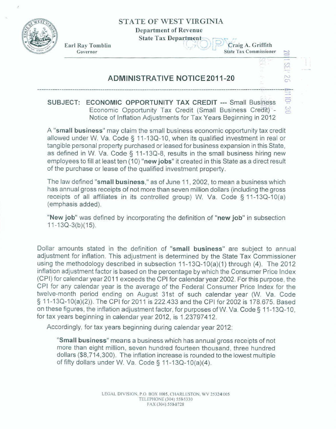**STATE OF WEST VIRGINIA** 

**Department of Revenue** 

**State Tax Department** 



**Earl Ray Tomblin Earl Ray Tombin Earl Ray Tombin Earl Ray Tombin Earl Ray Tombin Earl Ray Craig A. Griffith** 

**State Tax Commissioner**  $\frac{1}{2}$  issioner<br> $\frac{1}{2}$   $\frac{1}{2}$   $\frac{1}{2}$   $\frac{1}{2}$   $\frac{1}{2}$   $\frac{1}{2}$   $\frac{1}{2}$   $\frac{1}{2}$   $\frac{1}{2}$   $\frac{1}{2}$   $\frac{1}{2}$   $\frac{1}{2}$   $\frac{1}{2}$   $\frac{1}{2}$   $\frac{1}{2}$   $\frac{1}{2}$   $\frac{1}{2}$   $\frac{1}{2}$   $\frac{1}{2}$   $\frac{1}{2}$   $\$ 

SEP 26

**FILL 10:** 

 $\frac{c}{c}$ 

## **ADMINISTRATIVE NOTICE 2011-20**

**SUBJECT: ECONOMIC OPPORTUNITY TAX CREDIT --- Small Business Economic Opportunity Tax Credit (Small Business Credit) -**Notice of Inflation **Adjustments for Tax Years Beginning in 20** 12

**A "small** business" may claim **the** small business economic opportunity tax credit allowed under W. Va. **Code** § 1 1-1 3Q-10, when its qualified investment in real or tangible personal **property** purchased or leased for **business** expansion in this **State,**  as defined in W. Va, Code *5* **71-13Q-8, results** in the **small business** hiring new **ernpioyees** to fill at least **ten (?0)** "new **jobs"** it created in **this** State as **s** direct **result**  of the purchase or lease of the **qualified investment property.** 

The law defined **"small business," as of** June **11,2i)02, tomean a** business which has annual gross receipts of not more than seven million dollars (including the gross receipts of all **affiliates** in **its controlled group) W. Va.** Code **5 1 1-13Q-10(a) (emphasis added).** 

**"New job"** was defined by incorporating the definition of "new **job"** in subsection 11-13Q-3(b)(15).

Dollar amounts **stated** in the definition of "small business" **are subject** to annual adjustment for inflation. This adjustment is determined by the State Tax Commissioner using the methodology described in subsection 11-13Q-10(a)(1) through (4). The 2012 inflation **adjustment factor is based on the percentage by which** the Consumer Price lndex (CPI) for calendar year **201** 1 **exceeds** the CPI for **calendar year** 2002. For this purpose, the CPI for any calendar year is the average of the Federal **Consumer** Price Index for the twelve-month period ending on August **31st of such** calendar **year (W.** Va. **Code**  § 1 **1-1 3Q-I O(a)(2)).** The CPI for 201 1 is 222.433 and the CPI for **2002 is** 178.675. **Based on** these figures, the inflation adjustment factor, for purposes **of W. Va. Code 3 7 1-1 3Q-? 0,**  for tax years beginning in calendar year 2012, is **1.23797412.** 

Accordingly, for tax years beginning during **calendar** year **2012:** 

**"Small business" means** a **business** which **has** annual **gross** receipts of not more than eight million, seven hundred fourteen thousand, three hundred **dollars** (\$8,714,300). The inflation increase is rounded to the lowest **multiple**  of fifty **dollars** under **W. Va.** Code **3 1 7 -1 3Q--I O(a)(4).**